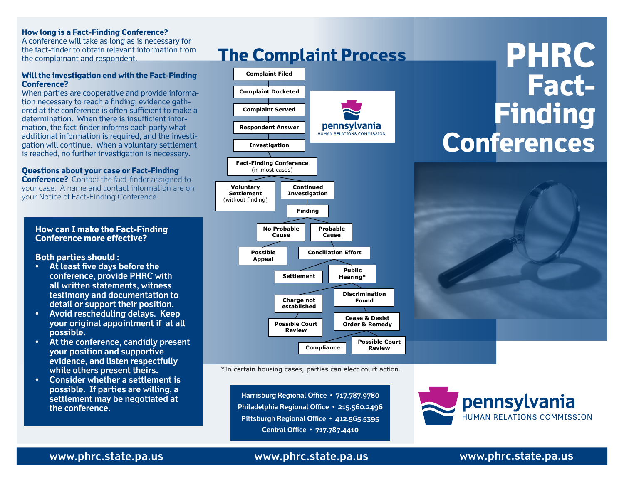#### **How long is a Fact-Finding Conference?**

A conference will take as long as is necessary for the fact-finder to obtain relevant information from the complainant and respondent.

#### **Will the investigation end with the Fact-Finding Conference?**

When parties are cooperative and provide information necessary to reach a finding, evidence gathered at the conference is often sufficient to make a determination. When there is insufficient information, the fact-finder informs each party what additional information is required, and the investigation will continue. When a voluntary settlement is reached, no further investigation is necessary.

### **Questions about your case or Fact-Finding**

**Conference?** Contact the fact-finder assigned to your case. A name and contact information are on your Notice of Fact-Finding Conference.

#### **How can I make the Fact-Finding Conference more effective?**

**Both parties should :**

- **At least five days before the conference, provide PHRC with all written statements, witness testimony and documentation to detail or support their position.**
- **Avoid rescheduling delays. Keep your original appointment if at all possible.**
- **At the conference, candidly present your position and supportive evidence, and listen respectfully while others present theirs.**
- **Consider whether a settlement is possible. If parties are willing, a settlement may be negotiated at the conference.**

# **The Complaint Process**



\*In certain housing cases, parties can elect court action.

**Harrisburg Regional Office • 717.787.9780 Philadelphia Regional Office • 215.560.2496 Pittsburgh Regional Office • 412.565.5395 Central Office • 717.787.4410**



**www.phrc.state.pa.us**

# **www.phrc.state.pa.us**

## **www.phrc.state.pa.us**

**PHRC**

**Finding** 

**Conferences**

**Fact-**